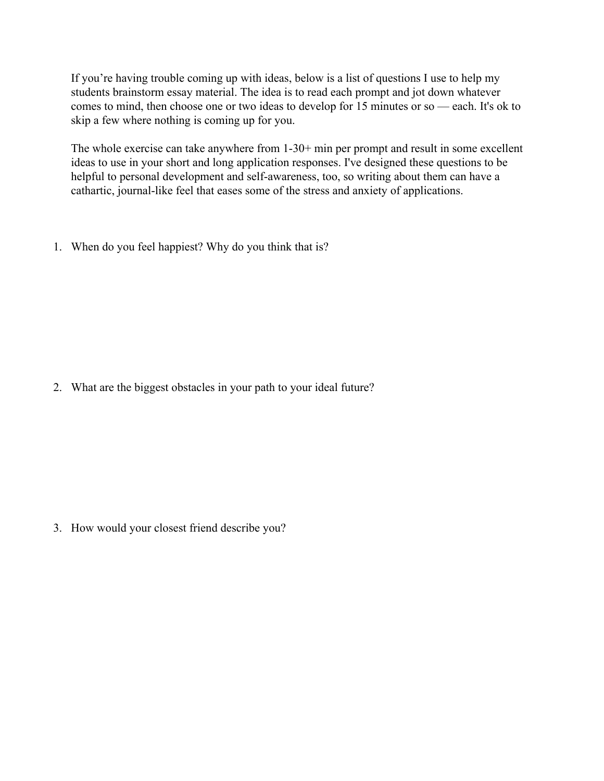If you're having trouble coming up with ideas, below is a list of questions I use to help my students brainstorm essay material. The idea is to read each prompt and jot down whatever comes to mind, then choose one or two ideas to develop for 15 minutes or so — each. It's ok to skip a few where nothing is coming up for you.

The whole exercise can take anywhere from 1-30+ min per prompt and result in some excellent ideas to use in your short and long application responses. I've designed these questions to be helpful to personal development and self-awareness, too, so writing about them can have a cathartic, journal-like feel that eases some of the stress and anxiety of applications.

1. When do you feel happiest? Why do you think that is?

2. What are the biggest obstacles in your path to your ideal future?

3. How would your closest friend describe you?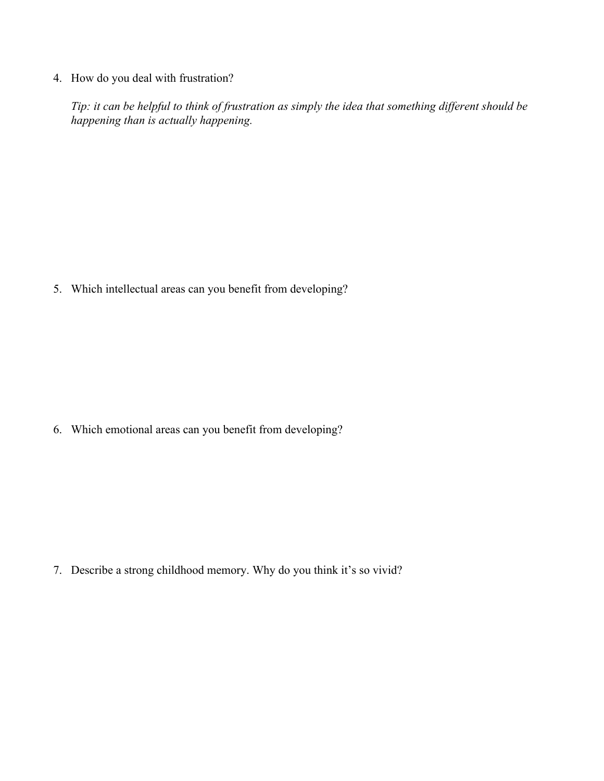4. How do you deal with frustration?

*Tip: it can be helpful to think of frustration as simply the idea that something different should be happening than is actually happening.*

5. Which intellectual areas can you benefit from developing?

6. Which emotional areas can you benefit from developing?

7. Describe a strong childhood memory. Why do you think it's so vivid?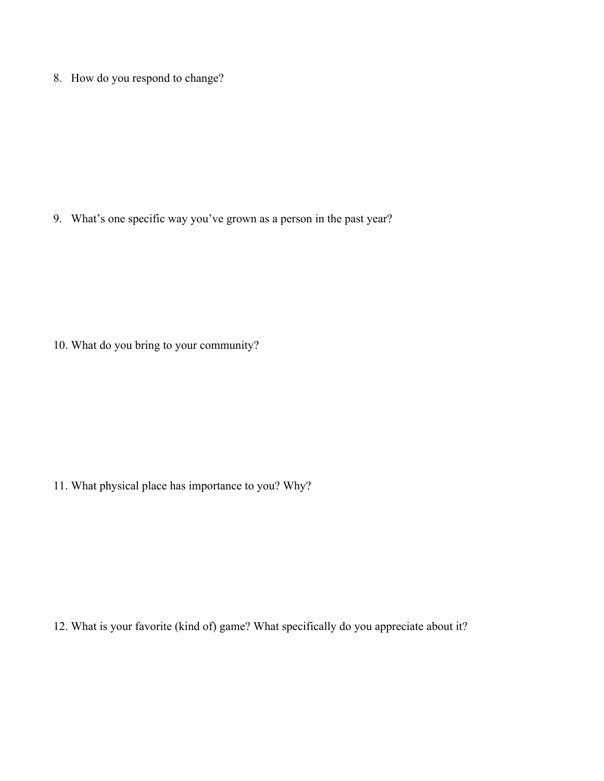8. How do you respond to change?

9. What's one specific way you've grown as a person in the past year?

10. What do you bring to your community?

11. What physical place has importance to you? Why?

12. What is your favorite (kind of) game? What specifically do you appreciate about it?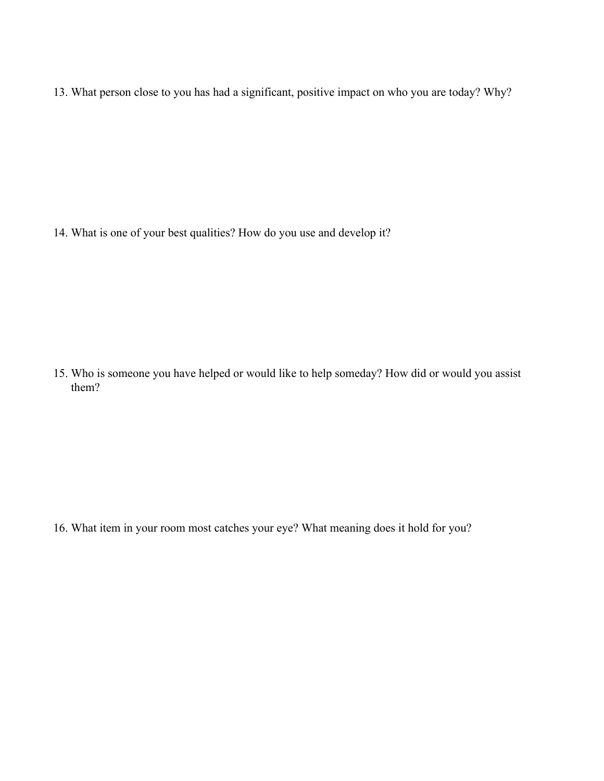13. What person close to you has had a significant, positive impact on who you are today? Why?

14. What is one of your best qualities? How do you use and develop it?

15. Who is someone you have helped or would like to help someday? How did or would you assist them?

16. What item in your room most catches your eye? What meaning does it hold for you?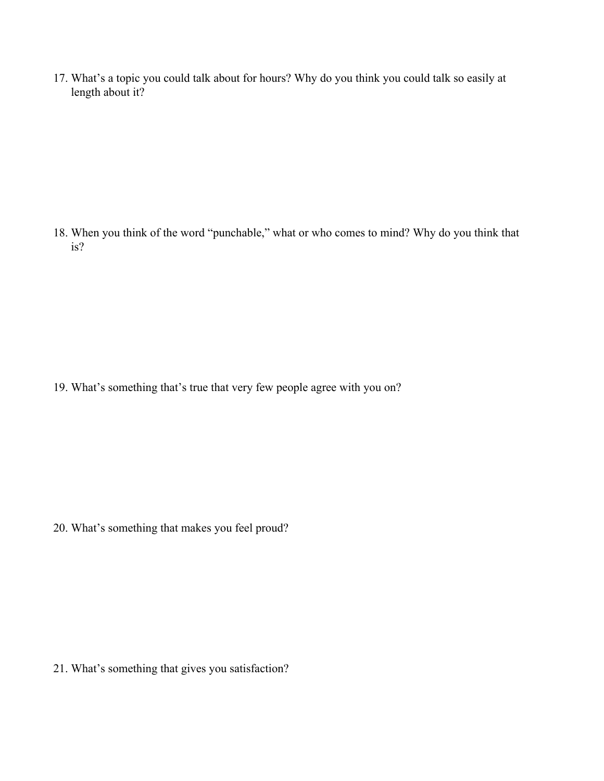17. What's a topic you could talk about for hours? Why do you think you could talk so easily at length about it?

18. When you think of the word "punchable," what or who comes to mind? Why do you think that is?

19. What's something that's true that very few people agree with you on?

20. What's something that makes you feel proud?

21. What's something that gives you satisfaction?